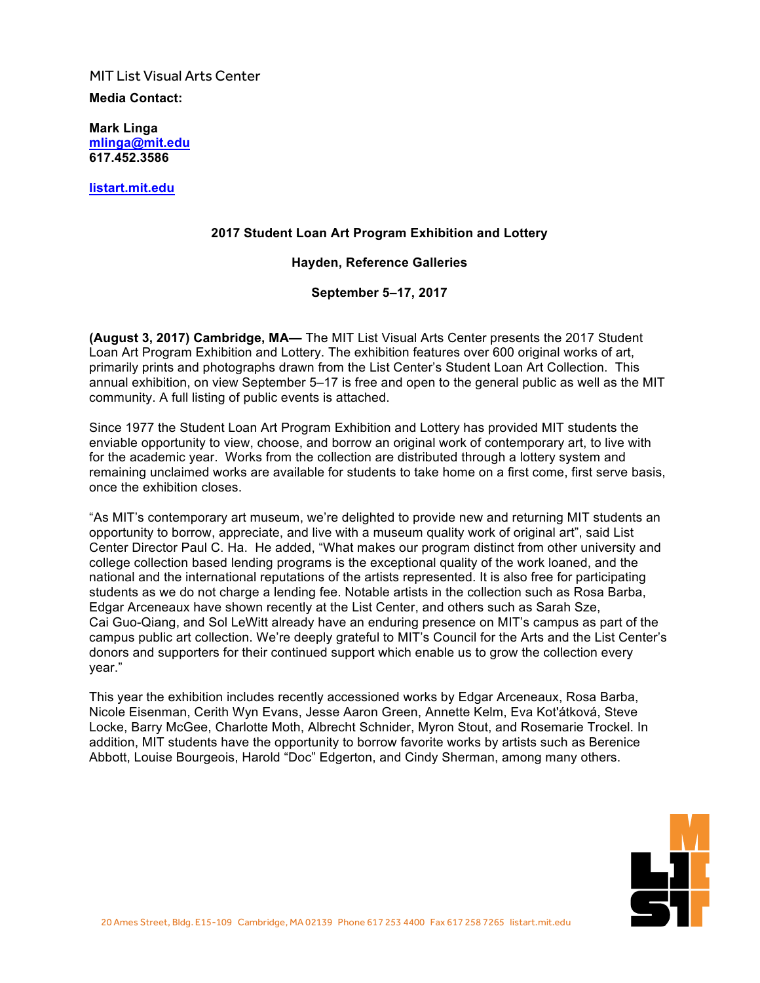MIT List Visual Arts Center

**Media Contact:**

**Mark Linga [mlinga@mit.edu](mailto:mlinga@mit.edu) [617.452.3586](tel:6174523586)**

**<listart.mit.edu>**

#### **2017 Student Loan Art Program Exhibition and Lottery**

#### **Hayden, Reference Galleries**

**September 5–17, 2017**

**(August 3, 2017) Cambridge, MA—** The MIT List Visual Arts Center presents the 2017 Student Loan Art Program Exhibition and Lottery. The exhibition features over 600 original works of art, primarily prints and photographs drawn from the List Center's Student Loan Art Collection. This annual exhibition, on view September 5–17 is free and open to the general public as well as the MIT community. A full listing of public events is attached.

Since 1977 the Student Loan Art Program Exhibition and Lottery has provided MIT students the enviable opportunity to view, choose, and borrow an original work of contemporary art, to live with for the academic year. Works from the collection are distributed through a lottery system and remaining unclaimed works are available for students to take home on a first come, first serve basis, once the exhibition closes.

"As MIT's contemporary art museum, we're delighted to provide new and returning MIT students an opportunity to borrow, appreciate, and live with a museum quality work of original art", said List Center Director Paul C. Ha. He added, "What makes our program distinct from other university and college collection based lending programs is the exceptional quality of the work loaned, and the national and the international reputations of the artists represented. It is also free for participating students as we do not charge a lending fee. Notable artists in the collection such as Rosa Barba, Edgar Arceneaux have shown recently at the List Center, and others such as Sarah Sze, Cai Guo-Qiang, and Sol LeWitt already have an enduring presence on MIT's campus as part of the campus public art collection. We're deeply grateful to MIT's Council for the Arts and the List Center's donors and supporters for their continued support which enable us to grow the collection every year."

This year the exhibition includes recently accessioned works by Edgar Arceneaux, Rosa Barba, Nicole Eisenman, Cerith Wyn Evans, Jesse Aaron Green, Annette Kelm, Eva Kot'átková, Steve Locke, Barry McGee, Charlotte Moth, Albrecht Schnider, Myron Stout, and Rosemarie Trockel. In addition, MIT students have the opportunity to borrow favorite works by artists such as Berenice Abbott, Louise Bourgeois, Harold "Doc" Edgerton, and Cindy Sherman, among many others.

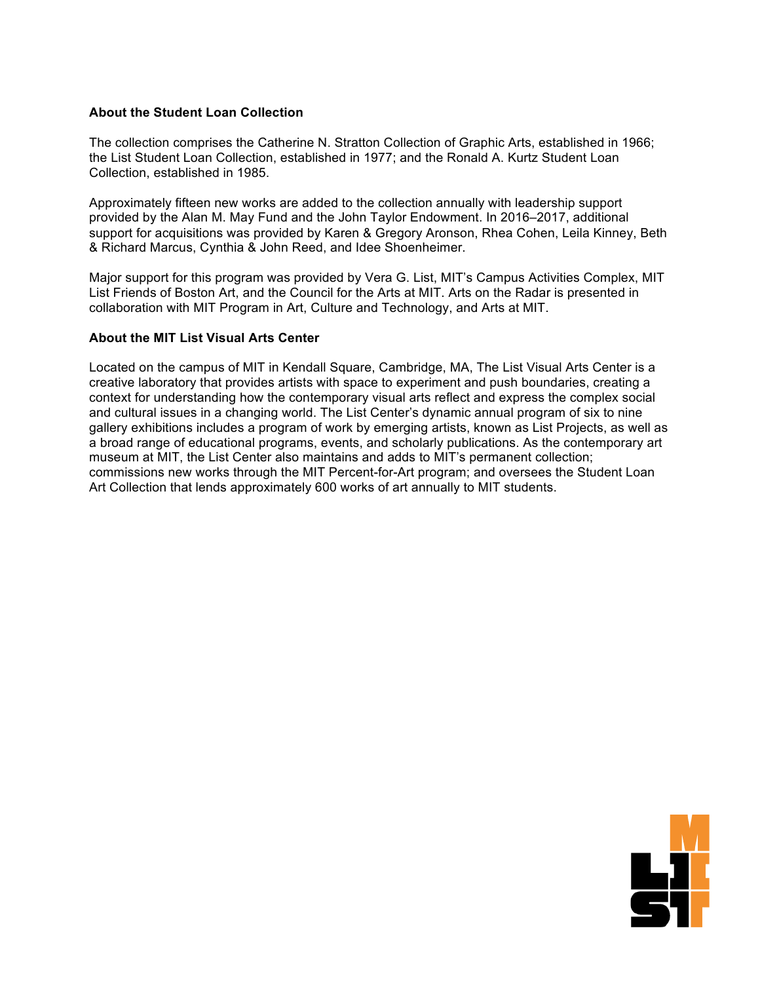#### **About the Student Loan Collection**

The collection comprises the Catherine N. Stratton Collection of Graphic Arts, established in 1966; the List Student Loan Collection, established in 1977; and the Ronald A. Kurtz Student Loan Collection, established in 1985.

Approximately fifteen new works are added to the collection annually with leadership support provided by the Alan M. May Fund and the John Taylor Endowment. In 2016–2017, additional support for acquisitions was provided by Karen & Gregory Aronson, Rhea Cohen, Leila Kinney, Beth & Richard Marcus, Cynthia & John Reed, and Idee Shoenheimer.

Major support for this program was provided by Vera G. List, MIT's Campus Activities Complex, MIT List Friends of Boston Art, and the Council for the Arts at MIT. Arts on the Radar is presented in collaboration with MIT Program in Art, Culture and Technology, and Arts at MIT.

#### **About the MIT List Visual Arts Center**

Located on the campus of MIT in Kendall Square, Cambridge, MA, The List Visual Arts Center is a creative laboratory that provides artists with space to experiment and push boundaries, creating a context for understanding how the contemporary visual arts reflect and express the complex social and cultural issues in a changing world. The List Center's dynamic annual program of six to nine gallery exhibitions includes a program of work by emerging artists, known as List Projects, as well as a broad range of educational programs, events, and scholarly publications. As the contemporary art museum at MIT, the List Center also maintains and adds to MIT's permanent collection; commissions new works through the MIT Percent-for-Art program; and oversees the Student Loan Art Collection that lends approximately 600 works of art annually to MIT students.

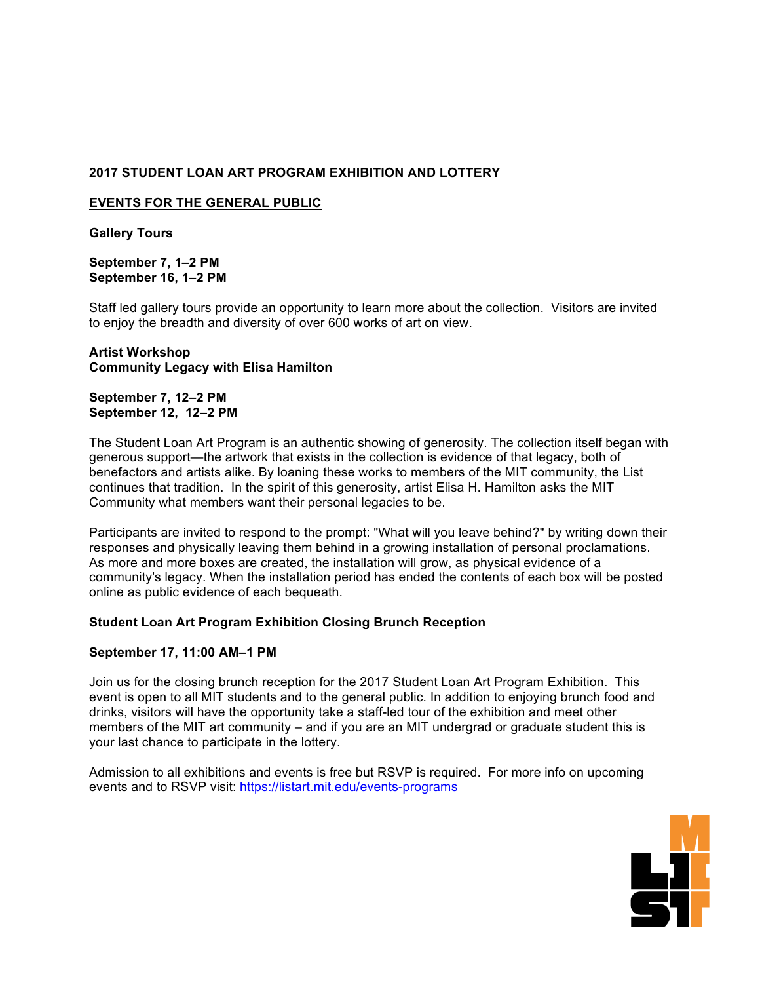## **2017 STUDENT LOAN ART PROGRAM EXHIBITION AND LOTTERY**

#### **EVENTS FOR THE GENERAL PUBLIC**

**Gallery Tours**

**September 7, 1–2 PM September 16, 1–2 PM**

Staff led gallery tours provide an opportunity to learn more about the collection. Visitors are invited to enjoy the breadth and diversity of over 600 works of art on view.

## **Artist Workshop Community Legacy with Elisa Hamilton**

#### **September 7, 12–2 PM September 12, 12–2 PM**

The Student Loan Art Program is an authentic showing of generosity. The collection itself began with generous support—the artwork that exists in the collection is evidence of that legacy, both of benefactors and artists alike. By loaning these works to members of the MIT community, the List continues that tradition. In the spirit of this generosity, artist Elisa H. Hamilton asks the MIT Community what members want their personal legacies to be.

Participants are invited to respond to the prompt: "What will you leave behind?" by writing down their responses and physically leaving them behind in a growing installation of personal proclamations. As more and more boxes are created, the installation will grow, as physical evidence of a community's legacy. When the installation period has ended the contents of each box will be posted online as public evidence of each bequeath.

## **Student Loan Art Program Exhibition Closing Brunch Reception**

## **September 17, 11:00 AM–1 PM**

Join us for the closing brunch reception for the 2017 Student Loan Art Program Exhibition. This event is open to all MIT students and to the general public. In addition to enjoying brunch food and drinks, visitors will have the opportunity take a staff-led tour of the exhibition and meet other members of the MIT art community – and if you are an MIT undergrad or graduate student this is your last chance to participate in the lottery.

Admission to all exhibitions and events is free but RSVP is required. For more info on upcoming events and to RSVP visit: <https://listart.mit.edu/events-programs>